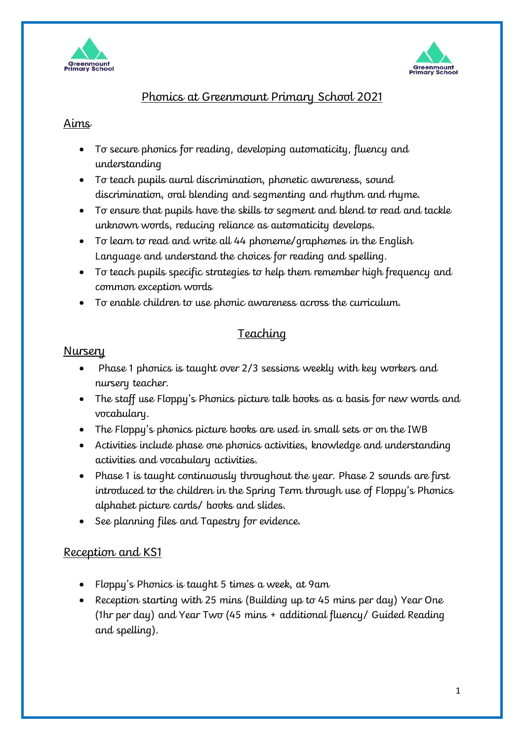



## Phonics at Greenmount Primary School 2021

#### Aims

- To secure phonics for reading, developing automaticity, fluency and understanding
- To teach pupils aural discrimination, phonetic awareness, sound discrimination, oral blending and segmenting and rhythm and rhyme.
- To ensure that pupils have the skills to segment and blend to read and tackle unknown words, reducing reliance as automaticity develops.
- To learn to read and write all 44 phoneme/graphemes in the English Language and understand the choices for reading and spelling.
- To teach pupils specific strategies to help them remember high frequency and common exception words
- To enable children to use phonic awareness across the curriculum.

# Teaching

#### Nursery

- Phase 1 phonics is taught over 2/3 sessions weekly with key workers and nursery teacher.
- The staff use Floppy's Phonics picture talk books as a basis for new words and vocabulary.
- The Floppy's phonics picture books are used in small sets or on the IWB
- Activities include phase one phonics activities, knowledge and understanding activities and vocabulary activities.
- Phase 1 is taught continuously throughout the year. Phase 2 sounds are first introduced to the children in the Spring Term through use of Floppy's Phonics alphabet picture cards/ books and slides.
- See planning files and Tapestry for evidence.

# Reception and KS1

- Floppy's Phonics is taught 5 times a week, at 9am
- Reception starting with 25 mins (Building up to 45 mins per day) Year One (1hr per day) and Year Two (45 mins + additional fluency/ Guided Reading and spelling).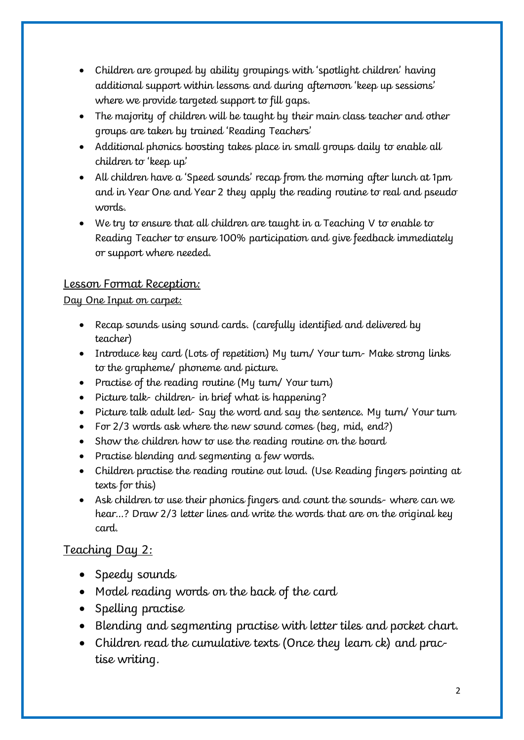- Children are grouped by ability groupings with 'spotlight children' having additional support within lessons and during afternoon 'keep up sessions' where we provide targeted support to fill gaps.
- The majority of children will be taught by their main class teacher and other groups are taken by trained 'Reading Teachers'
- Additional phonics boosting takes place in small groups daily to enable all children to 'keep up'
- All children have a 'Speed sounds' recap from the morning after lunch at 1pm and in Year One and Year 2 they apply the reading routine to real and pseudo words.
- We try to ensure that all children are taught in a Teaching V to enable to Reading Teacher to ensure 100% participation and give feedback immediately or support where needed.

# Lesson Format Reception:

## Day One Input on carpet:

- Recap sounds using sound cards. (carefully identified and delivered by teacher)
- Introduce key card (Lots of repetition) My turn/ Your turn- Make strong links to the grapheme/ phoneme and picture.
- Practise of the reading routine (My turn/ Your turn)
- Picture talk- children- in brief what is happening?
- Picture talk adult led- Say the word and say the sentence. My turn/ Your turn
- For 2/3 words ask where the new sound comes (beg, mid, end?)
- Show the children how to use the reading routine on the board
- Practise blending and segmenting a few words.
- Children practise the reading routine out loud. (Use Reading fingers pointing at texts for this)
- Ask children to use their phonics fingers and count the sounds- where can we hear…? Draw 2/3 letter lines and write the words that are on the original key card.

# Teaching Day 2:

- Speedy sounds
- Model reading words on the back of the card
- Spelling practise
- Blending and segmenting practise with letter tiles and pocket chart.
- Children read the cumulative texts (Once they learn ck) and practise writing.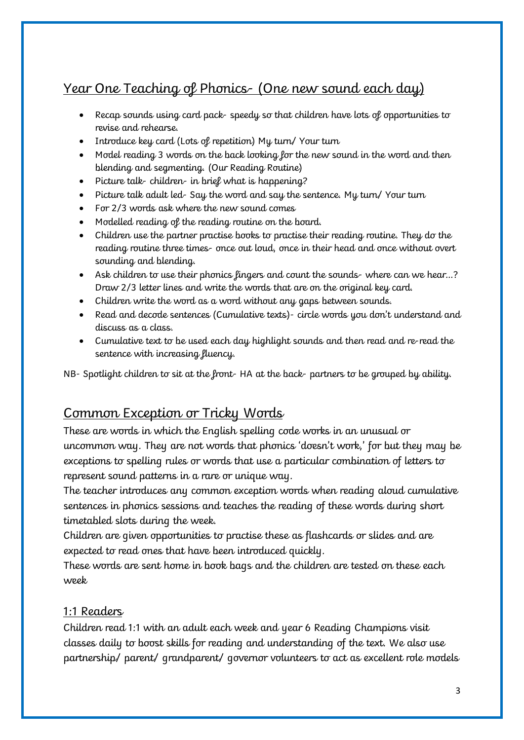# Year One Teaching of Phonics- (One new sound each day)

- Recap sounds using card pack- speedy so that children have lots of opportunities to revise and rehearse.
- Introduce key card (Lots of repetition) My turn/ Your turn
- Model reading 3 words on the back looking for the new sound in the word and then blending and segmenting. (Our Reading Routine)
- Picture talk- children- in brief what is happening?
- Picture talk adult led- Say the word and say the sentence. My turn/ Your turn
- For 2/3 words ask where the new sound comes
- Modelled reading of the reading routine on the board.
- Children use the partner practise books to practise their reading routine. They do the reading routine three times- once out loud, once in their head and once without overt sounding and blending.
- Ask children to use their phonics fingers and count the sounds-where can we hear...? Draw 2/3 letter lines and write the words that are on the original key card.
- Children write the word as a word without any gaps between sounds.
- Read and decode sentences (Cumulative texts)- circle words you don't understand and discuss as a class.
- Cumulative text to be used each day highlight sounds and then read and re-read the sentence with increasing fluency.

NB- Spotlight children to sit at the front- HA at the back- partners to be grouped by ability.

# Common Exception or Tricky Words

These are words in which the English spelling code works in an unusual or uncommon way. They are not words that phonics 'doesn't work,' for but they may be exceptions to spelling rules or words that use a particular combination of letters to represent sound patterns in a rare or unique way.

The teacher introduces any common exception words when reading aloud cumulative sentences in phonics sessions and teaches the reading of these words during short timetabled slots during the week.

Children are given opportunities to practise these as flashcards or slides and are expected to read ones that have been introduced quickly.

These words are sent home in book bags and the children are tested on these each week

#### 1:1 Readers

Children read 1:1 with an adult each week and year 6 Reading Champions visit classes daily to boost skills for reading and understanding of the text. We also use partnership/ parent/ grandparent/ governor volunteers to act as excellent role models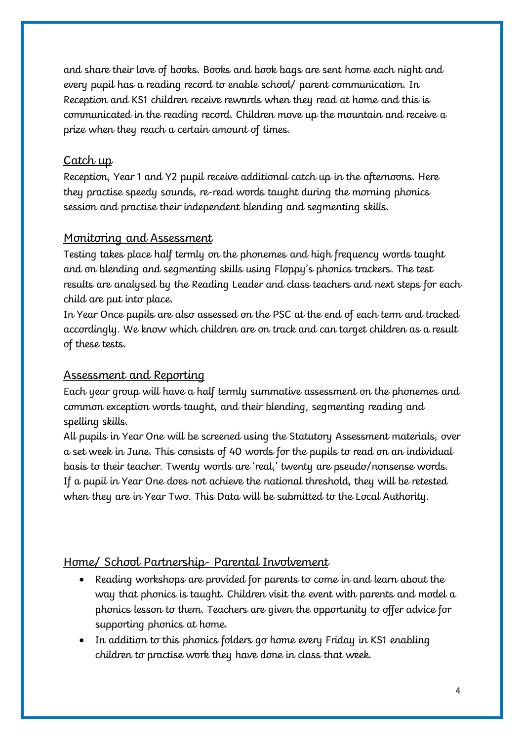and share their love of books. Books and book bags are sent home each night and every pupil has a reading record to enable school/ parent communication. In Reception and KS1 children receive rewards when they read at home and this is communicated in the reading record. Children move up the mountain and receive a prize when they reach a certain amount of times.

#### Catch up

Reception, Year 1 and Y2 pupil receive additional catch up in the afternoons. Here they practise speedy sounds, re-read words taught during the morning phonics session and practise their independent blending and segmenting skills.

## Monitoring and Assessment

Testing takes place half termly on the phonemes and high frequency words taught and on blending and segmenting skills using Floppy's phonics trackers. The test results are analysed by the Reading Leader and class teachers and next steps for each child are put into place.

In Year Once pupils are also assessed on the PSC at the end of each term and tracked accordingly. We know which children are on track and can target children as a result of these tests.

#### Assessment and Reporting

Each year group will have a half termly summative assessment on the phonemes and common exception words taught, and their blending, segmenting reading and spelling skills.

All pupils in Year One will be screened using the Statutory Assessment materials, over a set week in June. This consists of 40 words for the pupils to read on an individual basis to their teacher. Twenty words are 'real,' twenty are pseudo/nonsense words. If a pupil in Year One does not achieve the national threshold, they will be retested when they are in Year Two. This Data will be submitted to the Local Authority.

# Home/ School Partnership- Parental Involvement

- Reading workshops are provided for parents to come in and learn about the way that phonics is taught. Children visit the event with parents and model a phonics lesson to them. Teachers are given the opportunity to offer advice for supporting phonics at home.
- In addition to this phonics folders go home every Friday in KS1 enabling children to practise work they have done in class that week.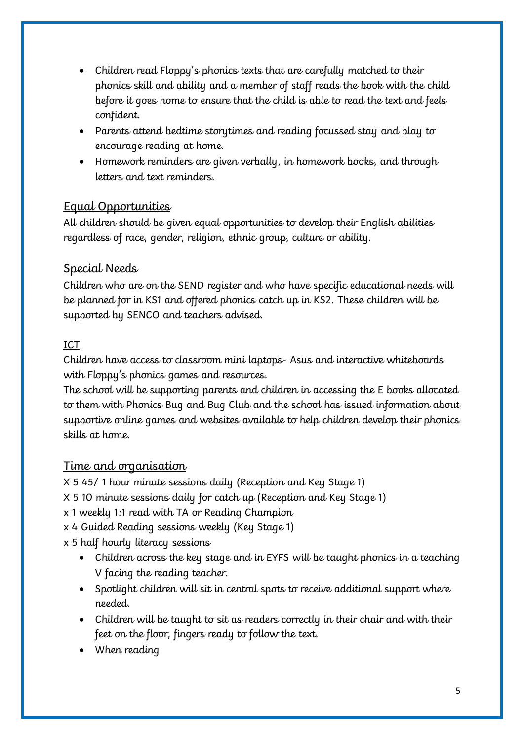- Children read Floppy's phonics texts that are carefully matched to their phonics skill and ability and a member of staff reads the book with the child before it goes home to ensure that the child is able to read the text and feels confident.
- Parents attend bedtime storytimes and reading focussed stay and play to encourage reading at home.
- Homework reminders are given verbally, in homework books, and through letters and text reminders.

# Equal Opportunities

All children should be given equal opportunities to develop their English abilities regardless of race, gender, religion, ethnic group, culture or ability.

## Special Needs

Children who are on the SEND register and who have specific educational needs will be planned for in KS1 and offered phonics catch up in KS2. These children will be supported by SENCO and teachers advised.

#### ICT

Children have access to classroom mini laptops- Asus and interactive whiteboards with Floppy's phonics games and resources.

The school will be supporting parents and children in accessing the E books allocated to them with Phonics Bug and Bug Club and the school has issued information about supportive online games and websites available to help children develop their phonics skills at home.

# Time and organisation

X 5 45/ 1 hour minute sessions daily (Reception and Key Stage 1)

- X 5 10 minute sessions daily for catch up (Reception and Key Stage 1)
- x 1 weekly 1:1 read with TA or Reading Champion
- x 4 Guided Reading sessions weekly (Key Stage 1)

x 5 half hourly literacy sessions

- Children across the key stage and in EYFS will be taught phonics in a teaching V facing the reading teacher.
- Spotlight children will sit in central spots to receive additional support where needed.
- Children will be taught to sit as readers correctly in their chair and with their feet on the floor, fingers ready to follow the text.
- When reading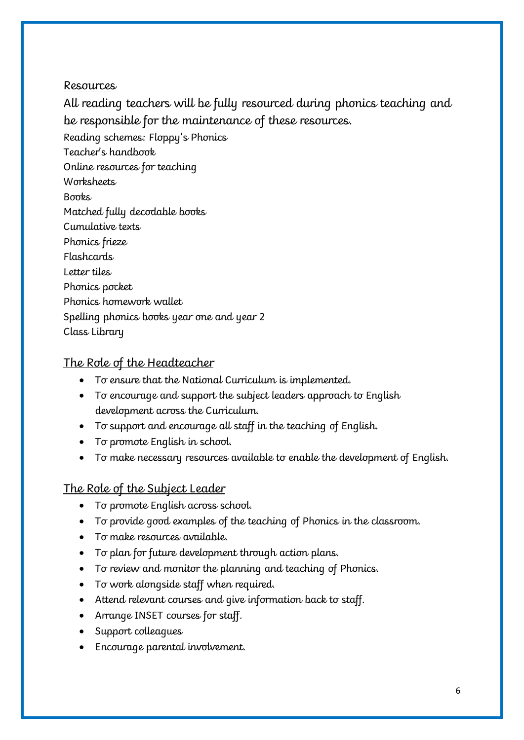#### Resources

All reading teachers will be fully resourced during phonics teaching and be responsible for the maintenance of these resources.

Reading schemes: Floppy's Phonics

Teacher's handbook

Online resources for teaching

**Worksheets** 

**Books** 

Matched fully decodable books

Cumulative texts

Phonics frieze

Flashcards

Letter tiles

Phonics pocket

Phonics homework wallet

Spelling phonics books year one and year 2

Class Library

# The Role of the Headteacher

- To ensure that the National Curriculum is implemented.
- To encourage and support the subject leaders approach to English development across the Curriculum.
- To support and encourage all staff in the teaching of English.
- To promote English in school.
- To make necessary resources available to enable the development of English.

# The Role of the Subject Leader

- To promote English across school.
- To provide good examples of the teaching of Phonics in the classroom.
- To make resources available.
- To plan for future development through action plans.
- To review and monitor the planning and teaching of Phonics.
- To work alongside staff when required.
- Attend relevant courses and give information back to staff.
- Arrange INSET courses for staff.
- Support colleagues
- Encourage parental involvement.